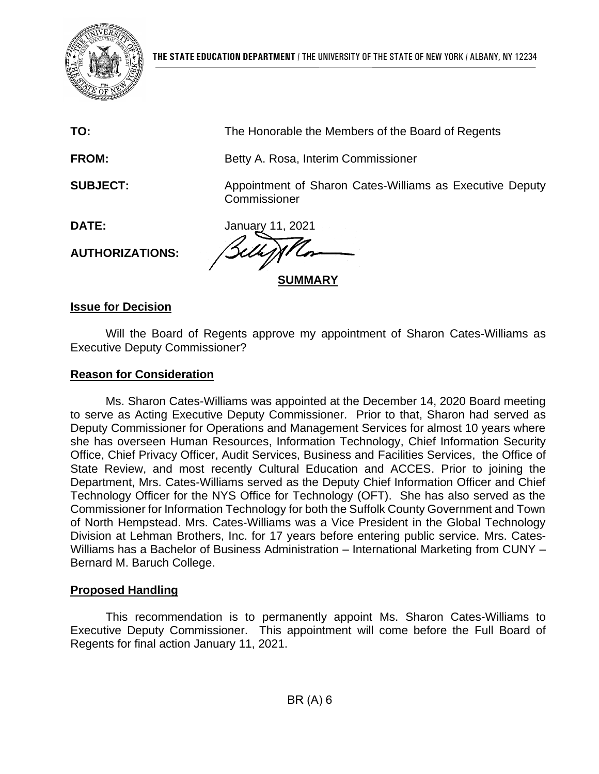

**TO:** The Honorable the Members of the Board of Regents

**FROM:** Betty A. Rosa, Interim Commissioner

**SUBJECT:** Appointment of Sharon Cates-Williams as Executive Deputy **Commissioner** 

**DATE:** January 11, 2021

**AUTHORIZATIONS:**

**SUMMARY**

# **Issue for Decision**

Will the Board of Regents approve my appointment of Sharon Cates-Williams as Executive Deputy Commissioner?

# **Reason for Consideration**

Ms. Sharon Cates-Williams was appointed at the December 14, 2020 Board meeting to serve as Acting Executive Deputy Commissioner. Prior to that, Sharon had served as Deputy Commissioner for Operations and Management Services for almost 10 years where she has overseen Human Resources, Information Technology, Chief Information Security Office, Chief Privacy Officer, Audit Services, Business and Facilities Services, the Office of State Review, and most recently Cultural Education and ACCES. Prior to joining the Department, Mrs. Cates-Williams served as the Deputy Chief Information Officer and Chief Technology Officer for the NYS Office for Technology (OFT). She has also served as the Commissioner for Information Technology for both the Suffolk County Government and Town of North Hempstead. Mrs. Cates-Williams was a Vice President in the Global Technology Division at Lehman Brothers, Inc. for 17 years before entering public service. Mrs. Cates-Williams has a Bachelor of Business Administration – International Marketing from CUNY – Bernard M. Baruch College.

# **Proposed Handling**

This recommendation is to permanently appoint Ms. Sharon Cates-Williams to Executive Deputy Commissioner. This appointment will come before the Full Board of Regents for final action January 11, 2021.